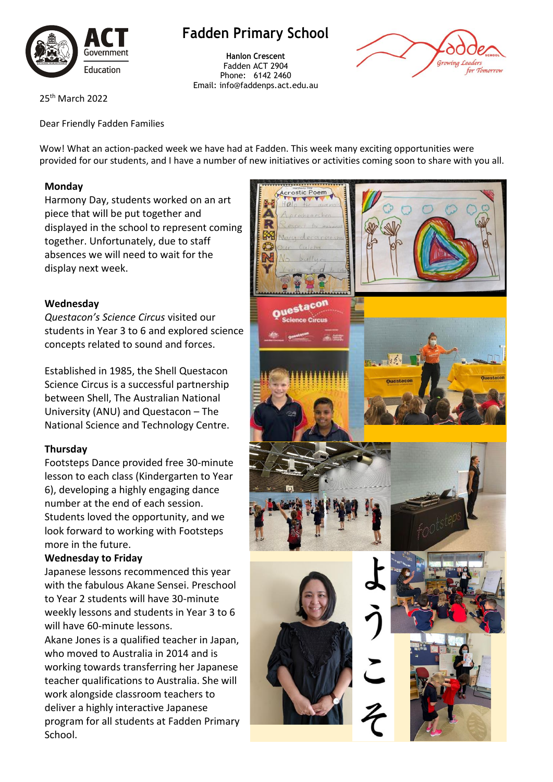

# **Fadden Primary School**

**Hanlon Crescent** Fadden ACT 2904 Phone: 6142 2460 Email: info@faddenps.act.edu.au



25th March 2022

Dear Friendly Fadden Families

Wow! What an action-packed week we have had at Fadden. This week many exciting opportunities were provided for our students, and I have a number of new initiatives or activities coming soon to share with you all.

### **Monday**

Harmony Day, students worked on an art piece that will be put together and displayed in the school to represent coming together. Unfortunately, due to staff absences we will need to wait for the display next week.

### **Wednesday**

*Questacon's Science Circus* visited our students in Year 3 to 6 and explored science concepts related to sound and forces.

Established in 1985, the Shell Questacon Science Circus is a successful partnership between Shell, The Australian National University (ANU) and Questacon – The National Science and Technology Centre.

### **Thursday**

Footsteps Dance provided free 30-minute lesson to each class (Kindergarten to Year 6), developing a highly engaging dance number at the end of each session. Students loved the opportunity, and we look forward to working with Footsteps more in the future.

#### **Wednesday to Friday**

Japanese lessons recommenced this year with the fabulous Akane Sensei. Preschool to Year 2 students will have 30-minute weekly lessons and students in Year 3 to 6 will have 60-minute lessons.

Akane Jones is a qualified teacher in Japan, who moved to Australia in 2014 and is working towards transferring her Japanese teacher qualifications to Australia. She will work alongside classroom teachers to deliver a highly interactive Japanese program for all students at Fadden Primary School.

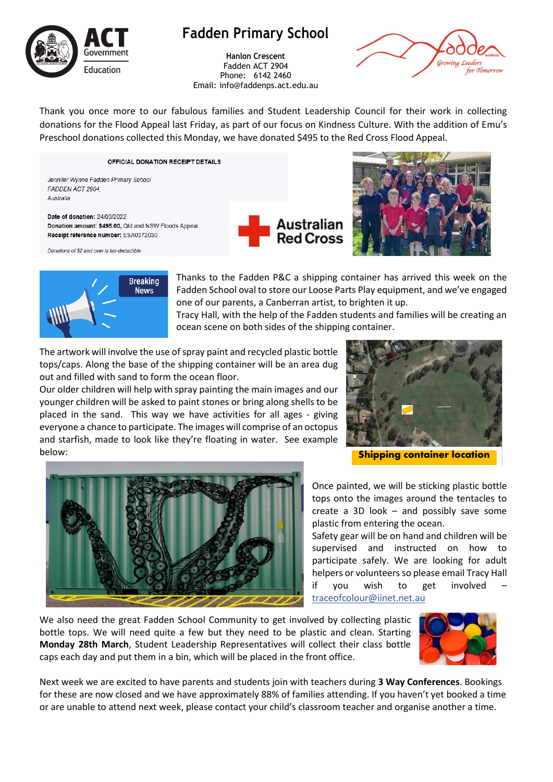

# **Fadden Primary School**

**Hanlon Crescent** Fadden ACT 2904 Phone: 6142 2460 Email: info@faddenps.act.edu.au



Thank you once more to our fabulous families and Student Leadership Council for their work in collecting donations for the Flood Appeal last Friday, as part of our focus on Kindness Culture. With the addition of Emu's Preschool donations collected this Monday, we have donated \$495 to the Red Cross Flood Appeal.

OFFICIAL DONATION RECEIPT DETAILS

Jennifer Wynne Fadden Primary School FADDEN ACT 2904. Australia

Donations of \$2 and over is tax-deductible

Date of donation: 24/03/2022 Donation amount: \$495.00, Qld and NSW Floods Appeal Receipt reference number: ESA0372030







Thanks to the Fadden P&C a shipping container has arrived this week on the Fadden School oval to store our Loose Parts Play equipment, and we've engaged one of our parents, a Canberran artist, to brighten it up.

Tracy Hall, with the help of the Fadden students and families will be creating an ocean scene on both sides of the shipping container.

The artwork will involve the use of spray paint and recycled plastic bottle tops/caps. Along the base of the shipping container will be an area dug out and filled with sand to form the ocean floor.

Our older children will help with spray painting the main images and our younger children will be asked to paint stones or bring along shells to be placed in the sand. This way we have activities for all ages - giving everyone a chance to participate. The images will comprise of an octopus and starfish, made to look like they're floating in water. See example below:



Shipping container location

Once painted, we will be sticking plastic bottle tops onto the images around the tentacles to create a 3D look – and possibly save some plastic from entering the ocean.

Safety gear will be on hand and children will be supervised and instructed on how to participate safely. We are looking for adult helpers or volunteers so please email Tracy Hall if you wish to get involved [traceofcolour@iinet.net.au](mailto:traceofcolour@iinet.net.au)

We also need the great Fadden School Community to get involved by collecting plastic bottle tops. We will need quite a few but they need to be plastic and clean. Starting **Monday 28th March**, Student Leadership Representatives will collect their class bottle caps each day and put them in a bin, which will be placed in the front office.



Next week we are excited to have parents and students join with teachers during **3 Way Conferences**. Bookings for these are now closed and we have approximately 88% of families attending. If you haven't yet booked a time or are unable to attend next week, please contact your child's classroom teacher and organise another a time.